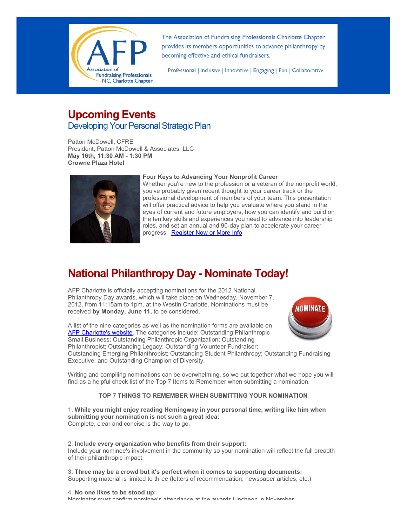

The Association of Fundraising Professionals Charlotte Chapter provides its members opportunities to advance philanthropy by becoming effective and ethical fundraisers.

Professional | Inclusive | Innovative | Engaging | Fun | Collaborative

## **Upcoming Events** Developing Your Personal Strategic Plan

Patton McDowell, CFRE President, Patton McDowell & Associates, LLC **May 16th, 11:30 AM - 1:30 PM Crowne Plaza Hotel**



#### **Four Keys to Advancing Your Nonprofit Career**

Whether you're new to the profession or a veteran of the nonprofit world, you've probably given recent thought to your career track or the professional development of members of your team. This presentation will offer practical advice to help you evaluate where you stand in the eyes of current and future employers, how you can identify and build on the ten key skills and experiences you need to advance into leadership roles, and set an annual and 90-day plan to accelerate your career progress. [Register Now or More Info](http://www.afp-charlotte.org/rsvp_details.html?id=3437)

## **National Philanthropy Day - Nominate Today!**

AFP Charlotte is officially accepting nominations for the 2012 National Philanthropy Day awards, which will take place on Wednesday, November 7, 2012, from 11:15am to 1pm, at the Westin Charlotte. Nominations must be received **by Monday, June 11,** to be considered.



A list of the nine categories as well as the nomination forms are available on [AFP Charlotte's website.](http://www.afp-charlotte.org/npd.html) The categories include: Outstanding Philanthropic Small Business; Outstanding Philanthropic Organization; Outstanding Philanthropist; Outstanding Legacy; Outstanding Volunteer Fundraiser;

Outstanding Emerging Philanthropist; Outstanding Student Philanthropy; Outstanding Fundraising Executive; and Outstanding Champion of Diversity.

Writing and compiling nominations can be overwhelming, so we put together what we hope you will find as a helpful check list of the Top 7 Items to Remember when submitting a nomination.

#### **TOP 7 THINGS TO REMEMBER WHEN SUBMITTING YOUR NOMINATION**

1. **While you might enjoy reading Hemingway in your personal time, writing like him when submitting your nomination is not such a great idea:** Complete, clear and concise is the way to go.

2. **Include every organization who benefits from their support:** Include your nominee's involvement in the community so your nomination will reflect the full breadth of their philanthropic impact.

3. **Three may be a crowd but it's perfect when it comes to supporting documents:** Supporting material is limited to three (letters of recommendation, newspaper articles, etc.)

4. **No one likes to be stood up:** Nominator must confirm nominee's attendance at the awards luncheon in November.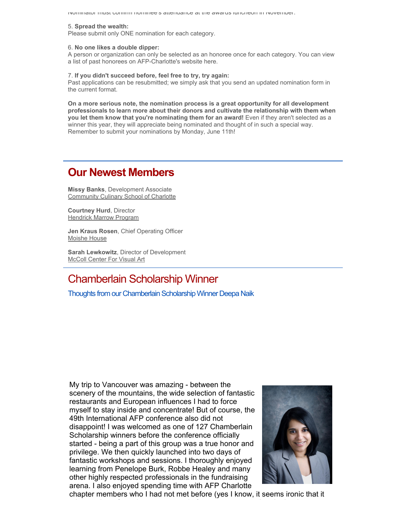Nominator must confirm nominee's attendance at the awards luncheon in November.

#### 5. **Spread the wealth:**

Please submit only ONE nomination for each category.

#### 6. **No one likes a double dipper:**

A person or organization can only be selected as an honoree once for each category. You can view a list of past honorees on AFP-Charlotte's website here.

#### 7. **If you didn't succeed before, feel free to try, try again:**

Past applications can be resubmitted; we simply ask that you send an updated nomination form in the current format.

**On a more serious note, the nomination process is a great opportunity for all development professionals to learn more about their donors and cultivate the relationship with them when you let them know that you're nominating them for an award!** Even if they aren't selected as a winner this year, they will appreciate being nominated and thought of in such a special way. Remember to submit your nominations by Monday, June 11th!

## **Our Newest Members**

**Missy Banks**, Development Associate [Community Culinary School of Charlotte](http://www.communityculinary.org/)

**Courtney Hurd**, Director [Hendrick Marrow Program](http://www.marrow.org/)

**Jen Kraus Rosen**, Chief Operating Officer [Moishe House](http://www.moishehouse.org/)

**Sarah Lewkowitz**, Director of Development [McColl Center For Visual Art](http://mccollcenter.org/)

## Chamberlain Scholarship Winner

Thoughts from our Chamberlain Scholarship Winner Deepa Naik

My trip to Vancouver was amazing - between the scenery of the mountains, the wide selection of fantastic restaurants and European influences I had to force myself to stay inside and concentrate! But of course, the 49th International AFP conference also did not disappoint! I was welcomed as one of 127 Chamberlain Scholarship winners before the conference officially started - being a part of this group was a true honor and privilege. We then quickly launched into two days of fantastic workshops and sessions. I thoroughly enjoyed learning from Penelope Burk, Robbe Healey and many other highly respected professionals in the fundraising arena. I also enjoyed spending time with AFP Charlotte



chapter members who I had not met before (yes I know, it seems ironic that it